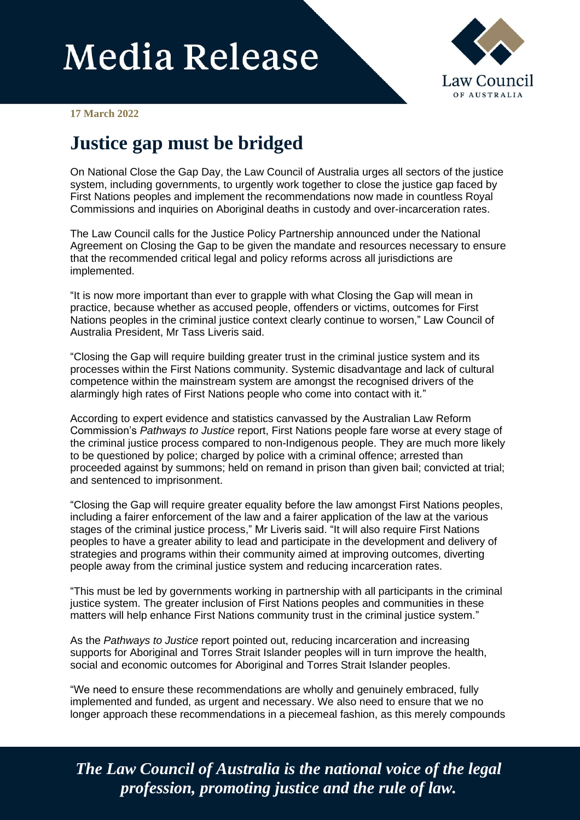## **Media Release**



**17 March 2022**

## **Justice gap must be bridged**

On National Close the Gap Day, the Law Council of Australia urges all sectors of the justice system, including governments, to urgently work together to close the justice gap faced by First Nations peoples and implement the recommendations now made in countless Royal Commissions and inquiries on Aboriginal deaths in custody and over-incarceration rates.

The Law Council calls for the Justice Policy Partnership announced under the National Agreement on Closing the Gap to be given the mandate and resources necessary to ensure that the recommended critical legal and policy reforms across all jurisdictions are implemented.

"It is now more important than ever to grapple with what Closing the Gap will mean in practice, because whether as accused people, offenders or victims, outcomes for First Nations peoples in the criminal justice context clearly continue to worsen," Law Council of Australia President, Mr Tass Liveris said.

"Closing the Gap will require building greater trust in the criminal justice system and its processes within the First Nations community. Systemic disadvantage and lack of cultural competence within the mainstream system are amongst the recognised drivers of the alarmingly high rates of First Nations people who come into contact with it."

According to expert evidence and statistics canvassed by the Australian Law Reform Commission's *Pathways to Justice* report, First Nations people fare worse at every stage of the criminal justice process compared to non-Indigenous people. They are much more likely to be questioned by police; charged by police with a criminal offence; arrested than proceeded against by summons; held on remand in prison than given bail; convicted at trial; and sentenced to imprisonment.

"Closing the Gap will require greater equality before the law amongst First Nations peoples, including a fairer enforcement of the law and a fairer application of the law at the various stages of the criminal justice process," Mr Liveris said. "It will also require First Nations peoples to have a greater ability to lead and participate in the development and delivery of strategies and programs within their community aimed at improving outcomes, diverting people away from the criminal justice system and reducing incarceration rates.

"This must be led by governments working in partnership with all participants in the criminal justice system. The greater inclusion of First Nations peoples and communities in these matters will help enhance First Nations community trust in the criminal justice system."

As the *Pathways to Justice* report pointed out, reducing incarceration and increasing supports for Aboriginal and Torres Strait Islander peoples will in turn improve the health, social and economic outcomes for Aboriginal and Torres Strait Islander peoples.

"We need to ensure these recommendations are wholly and genuinely embraced, fully implemented and funded, as urgent and necessary. We also need to ensure that we no longer approach these recommendations in a piecemeal fashion, as this merely compounds

*The Law Council of Australia is the national voice of the legal profession, promoting justice and the rule of law.*